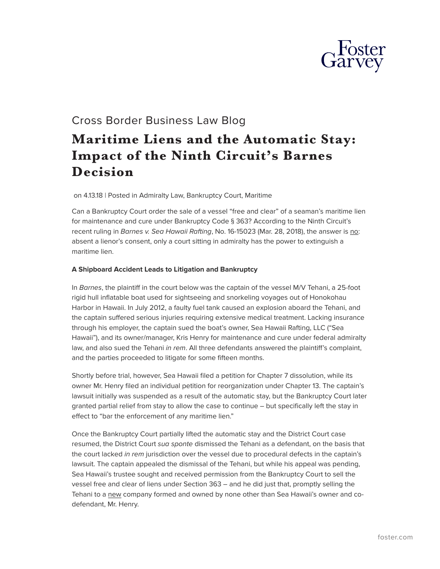

## Cross Border Business Law Blog

## **Maritime Liens and the Automatic Stay: Impact of the Ninth Circuit's Barnes Decision**

on 4.13.18 | Posted in Admiralty Law, Bankruptcy Court, Maritime

Can a Bankruptcy Court order the sale of a vessel "free and clear" of a seaman's maritime lien for maintenance and cure under Bankruptcy Code § 363? According to the Ninth Circuit's recent ruling in *Barnes v. Sea Hawaii Rafting*, No. 16-15023 (Mar. 28, 2018), the answer is no: absent a lienor's consent, only a court sitting in admiralty has the power to extinguish a maritime lien.

## **A Shipboard Accident Leads to Litigation and Bankruptcy**

In *Barnes*, the plaintiff in the court below was the captain of the vessel M/V Tehani, a 25-foot rigid hull inflatable boat used for sightseeing and snorkeling voyages out of Honokohau Harbor in Hawaii. In July 2012, a faulty fuel tank caused an explosion aboard the Tehani, and the captain suffered serious injuries requiring extensive medical treatment. Lacking insurance through his employer, the captain sued the boat's owner, Sea Hawaii Rafting, LLC ("Sea Hawaii"), and its owner/manager, Kris Henry for maintenance and cure under federal admiralty law, and also sued the Tehani *in rem*. All three defendants answered the plaintiff's complaint, and the parties proceeded to litigate for some fifteen months.

Shortly before trial, however, Sea Hawaii filed a petition for Chapter 7 dissolution, while its owner Mr. Henry filed an individual petition for reorganization under Chapter 13. The captain's lawsuit initially was suspended as a result of the automatic stay, but the Bankruptcy Court later granted partial relief from stay to allow the case to continue – but specifically left the stay in effect to "bar the enforcement of any maritime lien."

Once the Bankruptcy Court partially lifted the automatic stay and the District Court case resumed, the District Court *sua sponte* dismissed the Tehani as a defendant, on the basis that the court lacked *in rem* jurisdiction over the vessel due to procedural defects in the captain's lawsuit. The captain appealed the dismissal of the Tehani, but while his appeal was pending, Sea Hawaii's trustee sought and received permission from the Bankruptcy Court to sell the vessel free and clear of liens under Section 363 – and he did just that, promptly selling the Tehani to a new company formed and owned by none other than Sea Hawaii's owner and codefendant, Mr. Henry.